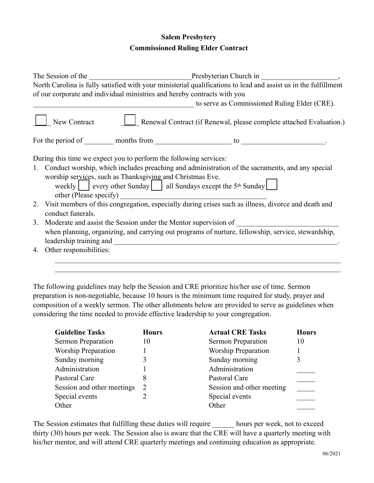## **Salem Presbytery Commissioned Ruling Elder Contract**

| The Session of the <u>Presbyterian</u> Church in Presbyterian Church in her fulfillment North Carolina is fully satisfied with your ministerial qualifications to lead and assist us in the fulfillment<br>of our corporate and individual ministries and hereby contracts with you<br>to serve as Commissioned Ruling Elder (CRE).<br>Renewal Contract (if Renewal, please complete attached Evaluation.)<br>New Contract<br>For the period of $\_\_\_\_\$ months from $\_\_\_\_\_\$ to $\_\_\_\_\_\_\_\_\_\_\_$<br>During this time we expect you to perform the following services:<br>1. Conduct worship, which includes preaching and administration of the sacraments, and any special<br>worship services, such as Thanksgiving and Christmas Eve.<br>weekly $\vert$ every other Sunday $\vert$ all Sundays except the 5 <sup>th</sup> Sunday |
|------------------------------------------------------------------------------------------------------------------------------------------------------------------------------------------------------------------------------------------------------------------------------------------------------------------------------------------------------------------------------------------------------------------------------------------------------------------------------------------------------------------------------------------------------------------------------------------------------------------------------------------------------------------------------------------------------------------------------------------------------------------------------------------------------------------------------------------------------|
|                                                                                                                                                                                                                                                                                                                                                                                                                                                                                                                                                                                                                                                                                                                                                                                                                                                      |
|                                                                                                                                                                                                                                                                                                                                                                                                                                                                                                                                                                                                                                                                                                                                                                                                                                                      |
|                                                                                                                                                                                                                                                                                                                                                                                                                                                                                                                                                                                                                                                                                                                                                                                                                                                      |
|                                                                                                                                                                                                                                                                                                                                                                                                                                                                                                                                                                                                                                                                                                                                                                                                                                                      |
|                                                                                                                                                                                                                                                                                                                                                                                                                                                                                                                                                                                                                                                                                                                                                                                                                                                      |
|                                                                                                                                                                                                                                                                                                                                                                                                                                                                                                                                                                                                                                                                                                                                                                                                                                                      |
| 2. Visit members of this congregation, especially during crises such as illness, divorce and death and<br>conduct funerals.                                                                                                                                                                                                                                                                                                                                                                                                                                                                                                                                                                                                                                                                                                                          |
| Moderate and assist the Session under the Mentor supervision of<br>3.                                                                                                                                                                                                                                                                                                                                                                                                                                                                                                                                                                                                                                                                                                                                                                                |
| when planning, organizing, and carrying out programs of nurture, fellowship, service, stewardship,                                                                                                                                                                                                                                                                                                                                                                                                                                                                                                                                                                                                                                                                                                                                                   |
|                                                                                                                                                                                                                                                                                                                                                                                                                                                                                                                                                                                                                                                                                                                                                                                                                                                      |
| Other responsibilities:<br>4.                                                                                                                                                                                                                                                                                                                                                                                                                                                                                                                                                                                                                                                                                                                                                                                                                        |
|                                                                                                                                                                                                                                                                                                                                                                                                                                                                                                                                                                                                                                                                                                                                                                                                                                                      |

The following guidelines may help the Session and CRE prioritize his/her use of time. Sermon preparation is non-negotiable, because 10 hours is the minimum time required for study, prayer and composition of a weekly sermon. The other allotments below are provided to serve as guidelines when considering the time needed to provide effective leadership to your congregation.

| <b>Guideline Tasks</b>     | <b>Hours</b> | <b>Actual CRE Tasks</b>    | <b>Hours</b> |
|----------------------------|--------------|----------------------------|--------------|
| Sermon Preparation         | 10           | Sermon Preparation         | 10           |
| <b>Worship Preparation</b> |              | <b>Worship Preparation</b> |              |
| Sunday morning             |              | Sunday morning             | 3            |
| Administration             |              | Administration             |              |
| Pastoral Care              | 8            | Pastoral Care              |              |
| Session and other meetings | 2            | Session and other meeting  |              |
| Special events             |              | Special events             |              |
| Other                      |              | Other                      |              |

The Session estimates that fulfilling these duties will require hours per week, not to exceed thirty (30) hours per week. The Session also is aware that the CRE will have a quarterly meeting with his/her mentor, and will attend CRE quarterly meetings and continuing education as appropriate.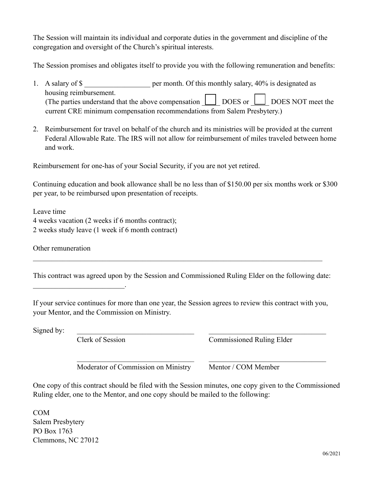The Session will maintain its individual and corporate duties in the government and discipline of the congregation and oversight of the Church's spiritual interests.

The Session promises and obligates itself to provide you with the following remuneration and benefits:

- 1. A salary of \$ per month. Of this monthly salary, 40% is designated as housing reimbursement. (The parties understand that the above compensation  $\boxed{\underline{\hspace{1cm}}\phantom{1}}$  DOES or  $\boxed{\hspace{1cm}}$  DOES NOT meet the current CRE minimum compensation recommendations from Salem Presbytery.)
- 2. Reimbursement for travel on behalf of the church and its ministries will be provided at the current Federal Allowable Rate. The IRS will not allow for reimbursement of miles traveled between home and work.

Reimbursement for one-has of your Social Security, if you are not yet retired.

Continuing education and book allowance shall be no less than of \$150.00 per six months work or \$300 per year, to be reimbursed upon presentation of receipts.

Leave time 4 weeks vacation (2 weeks if 6 months contract); 2 weeks study leave (1 week if 6 month contract)

Other remuneration

 $\mathcal{L}_\text{max}$  and  $\mathcal{L}_\text{max}$  and  $\mathcal{L}_\text{max}$ 

This contract was agreed upon by the Session and Commissioned Ruling Elder on the following date:

 $\mathcal{L}_\mathcal{L} = \{ \mathcal{L}_\mathcal{L} = \{ \mathcal{L}_\mathcal{L} = \{ \mathcal{L}_\mathcal{L} = \{ \mathcal{L}_\mathcal{L} = \{ \mathcal{L}_\mathcal{L} = \{ \mathcal{L}_\mathcal{L} = \{ \mathcal{L}_\mathcal{L} = \{ \mathcal{L}_\mathcal{L} = \{ \mathcal{L}_\mathcal{L} = \{ \mathcal{L}_\mathcal{L} = \{ \mathcal{L}_\mathcal{L} = \{ \mathcal{L}_\mathcal{L} = \{ \mathcal{L}_\mathcal{L} = \{ \mathcal{L}_\mathcal{$ 

If your service continues for more than one year, the Session agrees to review this contract with you, your Mentor, and the Commission on Ministry.

 $Signed by:$ 

Clerk of Session Commissioned Ruling Elder

Moderator of Commission on Ministry Mentor / COM Member

One copy of this contract should be filed with the Session minutes, one copy given to the Commissioned Ruling elder, one to the Mentor, and one copy should be mailed to the following:

 $\mathcal{L}_\text{max} = \frac{1}{2} \sum_{i=1}^n \mathcal{L}_\text{max}(\mathbf{z}_i - \mathbf{z}_i)$ 

COM Salem Presbytery PO Box 1763 Clemmons, NC 27012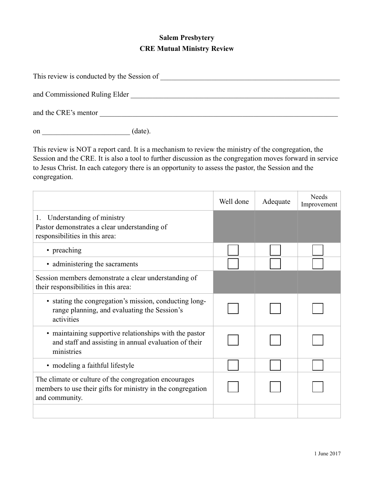## **Salem Presbytery CRE Mutual Ministry Review**

| This review is conducted by the Session of |  |
|--------------------------------------------|--|
|                                            |  |
| and Commissioned Ruling Elder              |  |
|                                            |  |
| and the CRE's mentor                       |  |
|                                            |  |

on  $(\text{date})$ .

This review is NOT a report card. It is a mechanism to review the ministry of the congregation, the Session and the CRE. It is also a tool to further discussion as the congregation moves forward in service to Jesus Christ. In each category there is an opportunity to assess the pastor, the Session and the congregation.

|                                                                                                                                        | Well done | Adequate | <b>Needs</b><br>Improvement |
|----------------------------------------------------------------------------------------------------------------------------------------|-----------|----------|-----------------------------|
| Understanding of ministry<br>1.<br>Pastor demonstrates a clear understanding of<br>responsibilities in this area:                      |           |          |                             |
| • preaching                                                                                                                            |           |          |                             |
| • administering the sacraments                                                                                                         |           |          |                             |
| Session members demonstrate a clear understanding of<br>their responsibilities in this area:                                           |           |          |                             |
| • stating the congregation's mission, conducting long-<br>range planning, and evaluating the Session's<br>activities                   |           |          |                             |
| • maintaining supportive relationships with the pastor<br>and staff and assisting in annual evaluation of their<br>ministries          |           |          |                             |
| • modeling a faithful lifestyle                                                                                                        |           |          |                             |
| The climate or culture of the congregation encourages<br>members to use their gifts for ministry in the congregation<br>and community. |           |          |                             |
|                                                                                                                                        |           |          |                             |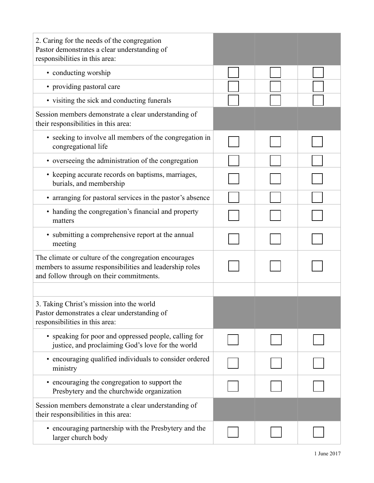| 2. Caring for the needs of the congregation<br>Pastor demonstrates a clear understanding of<br>responsibilities in this area:                                |  |  |
|--------------------------------------------------------------------------------------------------------------------------------------------------------------|--|--|
| • conducting worship                                                                                                                                         |  |  |
| • providing pastoral care                                                                                                                                    |  |  |
| • visiting the sick and conducting funerals                                                                                                                  |  |  |
| Session members demonstrate a clear understanding of<br>their responsibilities in this area:                                                                 |  |  |
| • seeking to involve all members of the congregation in<br>congregational life                                                                               |  |  |
| • overseeing the administration of the congregation                                                                                                          |  |  |
| • keeping accurate records on baptisms, marriages,<br>burials, and membership                                                                                |  |  |
| • arranging for pastoral services in the pastor's absence                                                                                                    |  |  |
| • handing the congregation's financial and property<br>matters                                                                                               |  |  |
| • submitting a comprehensive report at the annual<br>meeting                                                                                                 |  |  |
| The climate or culture of the congregation encourages<br>members to assume responsibilities and leadership roles<br>and follow through on their commitments. |  |  |
|                                                                                                                                                              |  |  |
| 3. Taking Christ's mission into the world<br>Pastor demonstrates a clear understanding of<br>responsibilities in this area:                                  |  |  |
| • speaking for poor and oppressed people, calling for<br>justice, and proclaiming God's love for the world                                                   |  |  |
| encouraging qualified individuals to consider ordered<br>ministry                                                                                            |  |  |
| • encouraging the congregation to support the<br>Presbytery and the churchwide organization                                                                  |  |  |
| Session members demonstrate a clear understanding of<br>their responsibilities in this area:                                                                 |  |  |
| • encouraging partnership with the Presbytery and the<br>larger church body                                                                                  |  |  |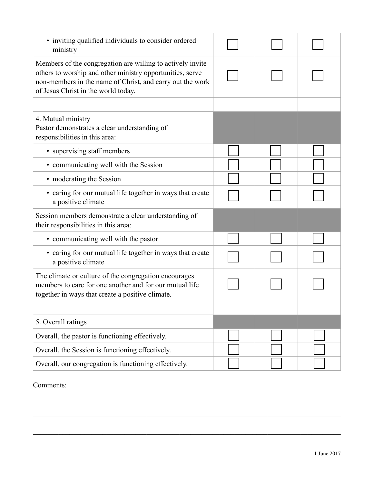| • inviting qualified individuals to consider ordered<br>ministry                                                                                                                                                            |  |  |
|-----------------------------------------------------------------------------------------------------------------------------------------------------------------------------------------------------------------------------|--|--|
| Members of the congregation are willing to actively invite<br>others to worship and other ministry opportunities, serve<br>non-members in the name of Christ, and carry out the work<br>of Jesus Christ in the world today. |  |  |
|                                                                                                                                                                                                                             |  |  |
| 4. Mutual ministry<br>Pastor demonstrates a clear understanding of<br>responsibilities in this area:                                                                                                                        |  |  |
| • supervising staff members                                                                                                                                                                                                 |  |  |
| • communicating well with the Session                                                                                                                                                                                       |  |  |
| • moderating the Session                                                                                                                                                                                                    |  |  |
| • caring for our mutual life together in ways that create<br>a positive climate                                                                                                                                             |  |  |
| Session members demonstrate a clear understanding of<br>their responsibilities in this area:                                                                                                                                |  |  |
| • communicating well with the pastor                                                                                                                                                                                        |  |  |
| • caring for our mutual life together in ways that create<br>a positive climate                                                                                                                                             |  |  |
| The climate or culture of the congregation encourages<br>members to care for one another and for our mutual life<br>together in ways that create a positive climate.                                                        |  |  |
|                                                                                                                                                                                                                             |  |  |
| 5. Overall ratings                                                                                                                                                                                                          |  |  |
| Overall, the pastor is functioning effectively.                                                                                                                                                                             |  |  |
| Overall, the Session is functioning effectively.                                                                                                                                                                            |  |  |
| Overall, our congregation is functioning effectively.                                                                                                                                                                       |  |  |

 $\mathcal{L}_\mathcal{L} = \{ \mathcal{L}_\mathcal{L} = \{ \mathcal{L}_\mathcal{L} = \{ \mathcal{L}_\mathcal{L} = \{ \mathcal{L}_\mathcal{L} = \{ \mathcal{L}_\mathcal{L} = \{ \mathcal{L}_\mathcal{L} = \{ \mathcal{L}_\mathcal{L} = \{ \mathcal{L}_\mathcal{L} = \{ \mathcal{L}_\mathcal{L} = \{ \mathcal{L}_\mathcal{L} = \{ \mathcal{L}_\mathcal{L} = \{ \mathcal{L}_\mathcal{L} = \{ \mathcal{L}_\mathcal{L} = \{ \mathcal{L}_\mathcal{$ 

 $\mathcal{L}_\mathcal{L} = \{ \mathcal{L}_\mathcal{L} = \{ \mathcal{L}_\mathcal{L} = \{ \mathcal{L}_\mathcal{L} = \{ \mathcal{L}_\mathcal{L} = \{ \mathcal{L}_\mathcal{L} = \{ \mathcal{L}_\mathcal{L} = \{ \mathcal{L}_\mathcal{L} = \{ \mathcal{L}_\mathcal{L} = \{ \mathcal{L}_\mathcal{L} = \{ \mathcal{L}_\mathcal{L} = \{ \mathcal{L}_\mathcal{L} = \{ \mathcal{L}_\mathcal{L} = \{ \mathcal{L}_\mathcal{L} = \{ \mathcal{L}_\mathcal{$ 

 $\mathcal{L}_\mathcal{L} = \{ \mathcal{L}_\mathcal{L} = \{ \mathcal{L}_\mathcal{L} = \{ \mathcal{L}_\mathcal{L} = \{ \mathcal{L}_\mathcal{L} = \{ \mathcal{L}_\mathcal{L} = \{ \mathcal{L}_\mathcal{L} = \{ \mathcal{L}_\mathcal{L} = \{ \mathcal{L}_\mathcal{L} = \{ \mathcal{L}_\mathcal{L} = \{ \mathcal{L}_\mathcal{L} = \{ \mathcal{L}_\mathcal{L} = \{ \mathcal{L}_\mathcal{L} = \{ \mathcal{L}_\mathcal{L} = \{ \mathcal{L}_\mathcal{$ 

Comments: